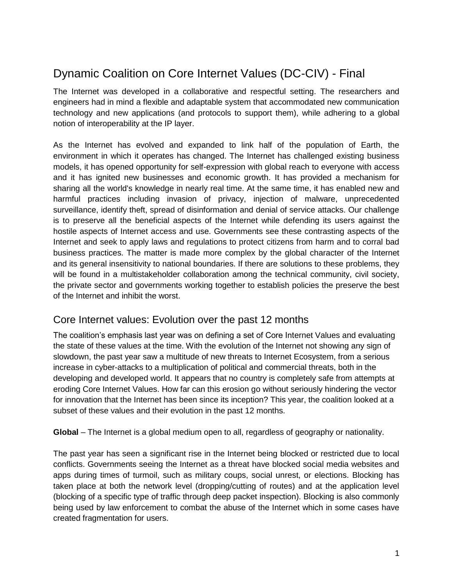## Dynamic Coalition on Core Internet Values (DC-CIV) - Final

The Internet was developed in a collaborative and respectful setting. The researchers and engineers had in mind a flexible and adaptable system that accommodated new communication technology and new applications (and protocols to support them), while adhering to a global notion of interoperability at the IP layer.

As the Internet has evolved and expanded to link half of the population of Earth, the environment in which it operates has changed. The Internet has challenged existing business models, it has opened opportunity for self-expression with global reach to everyone with access and it has ignited new businesses and economic growth. It has provided a mechanism for sharing all the world's knowledge in nearly real time. At the same time, it has enabled new and harmful practices including invasion of privacy, injection of malware, unprecedented surveillance, identify theft, spread of disinformation and denial of service attacks. Our challenge is to preserve all the beneficial aspects of the Internet while defending its users against the hostile aspects of Internet access and use. Governments see these contrasting aspects of the Internet and seek to apply laws and regulations to protect citizens from harm and to corral bad business practices. The matter is made more complex by the global character of the Internet and its general insensitivity to national boundaries. If there are solutions to these problems, they will be found in a multistakeholder collaboration among the technical community, civil society, the private sector and governments working together to establish policies the preserve the best of the Internet and inhibit the worst.

## Core Internet values: Evolution over the past 12 months

The coalition's emphasis last year was on defining a set of Core Internet Values and evaluating the state of these values at the time. With the evolution of the Internet not showing any sign of slowdown, the past year saw a multitude of new threats to Internet Ecosystem, from a serious increase in cyber-attacks to a multiplication of political and commercial threats, both in the developing and developed world. It appears that no country is completely safe from attempts at eroding Core Internet Values. How far can this erosion go without seriously hindering the vector for innovation that the Internet has been since its inception? This year, the coalition looked at a subset of these values and their evolution in the past 12 months.

**Global** – The Internet is a global medium open to all, regardless of geography or nationality.

The past year has seen a significant rise in the Internet being blocked or restricted due to local conflicts. Governments seeing the Internet as a threat have blocked social media websites and apps during times of turmoil, such as military coups, social unrest, or elections. Blocking has taken place at both the network level (dropping/cutting of routes) and at the application level (blocking of a specific type of traffic through deep packet inspection). Blocking is also commonly being used by law enforcement to combat the abuse of the Internet which in some cases have created fragmentation for users.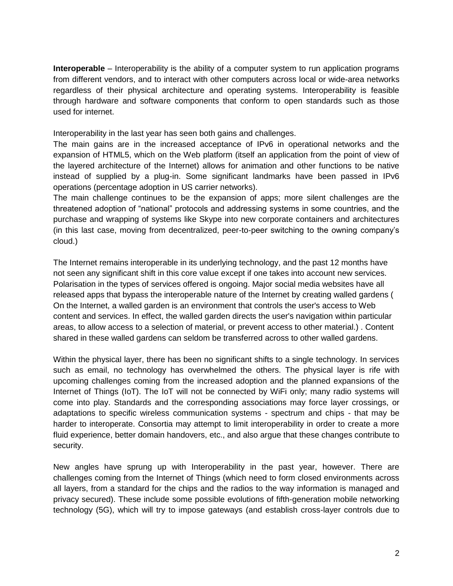**Interoperable** – Interoperability is the ability of a computer system to run application programs from different vendors, and to interact with other computers across local or wide-area networks regardless of their physical architecture and operating systems. Interoperability is feasible through hardware and software components that conform to open standards such as those used for internet.

Interoperability in the last year has seen both gains and challenges.

The main gains are in the increased acceptance of IPv6 in operational networks and the expansion of HTML5, which on the Web platform (itself an application from the point of view of the layered architecture of the Internet) allows for animation and other functions to be native instead of supplied by a plug-in. Some significant landmarks have been passed in IPv6 operations (percentage adoption in US carrier networks).

The main challenge continues to be the expansion of apps; more silent challenges are the threatened adoption of "national" protocols and addressing systems in some countries, and the purchase and wrapping of systems like Skype into new corporate containers and architectures (in this last case, moving from decentralized, peer-to-peer switching to the owning company's cloud.)

The Internet remains interoperable in its underlying technology, and the past 12 months have not seen any significant shift in this core value except if one takes into account new services. Polarisation in the types of services offered is ongoing. Major social media websites have all released apps that bypass the interoperable nature of the Internet by creating walled gardens ( On the Internet, a walled garden is an environment that controls the user's access to Web content and services. In effect, the walled garden directs the user's navigation within particular areas, to allow access to a selection of material, or prevent access to other material.) . Content shared in these walled gardens can seldom be transferred across to other walled gardens.

Within the physical layer, there has been no significant shifts to a single technology. In services such as email, no technology has overwhelmed the others. The physical layer is rife with upcoming challenges coming from the increased adoption and the planned expansions of the Internet of Things (IoT). The IoT will not be connected by WiFi only; many radio systems will come into play. Standards and the corresponding associations may force layer crossings, or adaptations to specific wireless communication systems - spectrum and chips - that may be harder to interoperate. Consortia may attempt to limit interoperability in order to create a more fluid experience, better domain handovers, etc., and also argue that these changes contribute to security.

New angles have sprung up with Interoperability in the past year, however. There are challenges coming from the Internet of Things (which need to form closed environments across all layers, from a standard for the chips and the radios to the way information is managed and privacy secured). These include some possible evolutions of fifth-generation mobile networking technology (5G), which will try to impose gateways (and establish cross-layer controls due to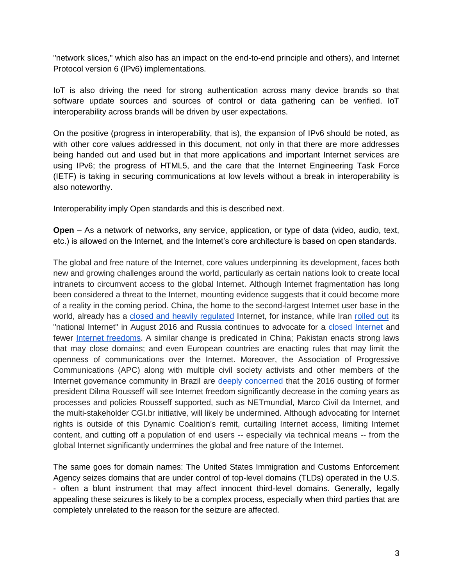"network slices," which also has an impact on the end-to-end principle and others), and Internet Protocol version 6 (IPv6) implementations.

IoT is also driving the need for strong authentication across many device brands so that software update sources and sources of control or data gathering can be verified. IoT interoperability across brands will be driven by user expectations.

On the positive (progress in interoperability, that is), the expansion of IPv6 should be noted, as with other core values addressed in this document, not only in that there are more addresses being handed out and used but in that more applications and important Internet services are using IPv6; the progress of HTML5, and the care that the Internet Engineering Task Force (IETF) is taking in securing communications at low levels without a break in interoperability is also noteworthy.

Interoperability imply Open standards and this is described next.

**Open** – As a network of networks, any service, application, or type of data (video, audio, text, etc.) is allowed on the Internet, and the Internet's core architecture is based on open standards.

The global and free nature of the Internet, core values underpinning its development, faces both new and growing challenges around the world, particularly as certain nations look to create local intranets to circumvent access to the global Internet. Although Internet fragmentation has long been considered a threat to the Internet, mounting evidence suggests that it could become more of a reality in the coming period. China, the home to the second-largest Internet user base in the world, already has a [closed and heavily regulated](https://freedomhouse.org/report/freedom-net/2015/china) Internet, for instance, while Iran [rolled out](http://www.circleid.com/posts/20160829_iran_begins_roll_out_of_national_internet/) its "national Internet" in August 2016 and Russia continues to advocate for a [closed Internet](http://www.ft.com/cms/s/0/08564d74-0bbf-11e6-9456-444ab5211a2f.html) and fewer [Internet freedoms.](http://www.russia-direct.org/opinion/crippling-blow-freedom-russian-internet) A similar change is predicated in China; Pakistan enacts strong laws that may close domains; and even European countries are enacting rules that may limit the openness of communications over the Internet. Moreover, the Association of Progressive Communications (APC) along with multiple civil society activists and other members of the Internet governance community in Brazil are [deeply concerned](https://www.apc.org/en/pubs/apc-condemns-affront-democracy-brazil) that the 2016 ousting of former president Dilma Rousseff will see Internet freedom significantly decrease in the coming years as processes and policies Rousseff supported, such as NETmundial, Marco Civil da Internet, and the multi-stakeholder CGI.br initiative, will likely be undermined. Although advocating for Internet rights is outside of this Dynamic Coalition's remit, curtailing Internet access, limiting Internet content, and cutting off a population of end users -- especially via technical means -- from the global Internet significantly undermines the global and free nature of the Internet.

The same goes for domain names: The United States Immigration and Customs Enforcement Agency seizes domains that are under control of top-level domains (TLDs) operated in the U.S. - often a blunt instrument that may affect innocent third-level domains. Generally, legally appealing these seizures is likely to be a complex process, especially when third parties that are completely unrelated to the reason for the seizure are affected.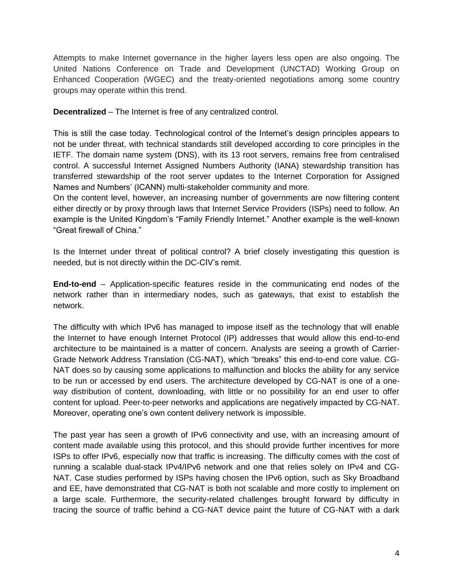Attempts to make Internet governance in the higher layers less open are also ongoing. The United Nations Conference on Trade and Development (UNCTAD) Working Group on Enhanced Cooperation (WGEC) and the treaty-oriented negotiations among some country groups may operate within this trend.

**Decentralized** – The Internet is free of any centralized control.

This is still the case today. Technological control of the Internet's design principles appears to not be under threat, with technical standards still developed according to core principles in the IETF. The domain name system (DNS), with its 13 root servers, remains free from centralised control. A successful Internet Assigned Numbers Authority (IANA) stewardship transition has transferred stewardship of the root server updates to the Internet Corporation for Assigned Names and Numbers' (ICANN) multi-stakeholder community and more.

On the content level, however, an increasing number of governments are now filtering content either directly or by proxy through laws that Internet Service Providers (ISPs) need to follow. An example is the United Kingdom's "Family Friendly Internet." Another example is the well-known "Great firewall of China."

Is the Internet under threat of political control? A brief closely investigating this question is needed, but is not directly within the DC-CIV's remit.

**End-to-end** – Application-specific features reside in the communicating end nodes of the network rather than in intermediary nodes, such as gateways, that exist to establish the network.

The difficulty with which IPv6 has managed to impose itself as the technology that will enable the Internet to have enough Internet Protocol (IP) addresses that would allow this end-to-end architecture to be maintained is a matter of concern. Analysts are seeing a growth of Carrier-Grade Network Address Translation (CG-NAT), which "breaks" this end-to-end core value. CG-NAT does so by causing some applications to malfunction and blocks the ability for any service to be run or accessed by end users. The architecture developed by CG-NAT is one of a oneway distribution of content, downloading, with little or no possibility for an end user to offer content for upload. Peer-to-peer networks and applications are negatively impacted by CG-NAT. Moreover, operating one's own content delivery network is impossible.

The past year has seen a growth of IPv6 connectivity and use, with an increasing amount of content made available using this protocol, and this should provide further incentives for more ISPs to offer IPv6, especially now that traffic is increasing. The difficulty comes with the cost of running a scalable dual-stack IPv4/IPv6 network and one that relies solely on IPv4 and CG-NAT. Case studies performed by ISPs having chosen the IPv6 option, such as Sky Broadband and EE, have demonstrated that CG-NAT is both not scalable and more costly to implement on a large scale. Furthermore, the security-related challenges brought forward by difficulty in tracing the source of traffic behind a CG-NAT device paint the future of CG-NAT with a dark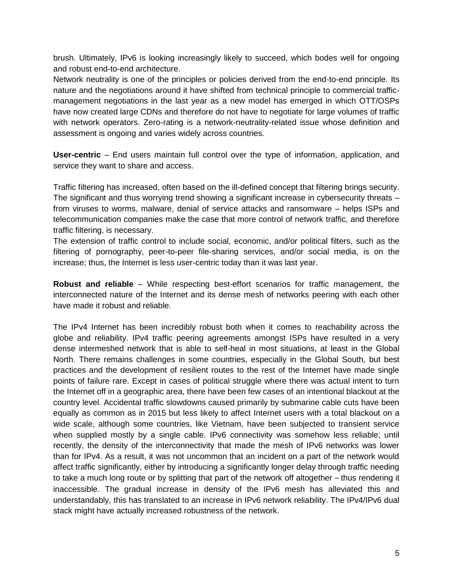brush. Ultimately, IPv6 is looking increasingly likely to succeed, which bodes well for ongoing and robust end-to-end architecture.

Network neutrality is one of the principles or policies derived from the end-to-end principle. Its nature and the negotiations around it have shifted from technical principle to commercial trafficmanagement negotiations in the last year as a new model has emerged in which OTT/OSPs have now created large CDNs and therefore do not have to negotiate for large volumes of traffic with network operators. Zero-rating is a network-neutrality-related issue whose definition and assessment is ongoing and varies widely across countries.

**User-centric** – End users maintain full control over the type of information, application, and service they want to share and access.

Traffic filtering has increased, often based on the ill-defined concept that filtering brings security. The significant and thus worrying trend showing a significant increase in cybersecurity threats – from viruses to worms, malware, denial of service attacks and ransomware – helps ISPs and telecommunication companies make the case that more control of network traffic, and therefore traffic filtering, is necessary.

The extension of traffic control to include social, economic, and/or political filters, such as the filtering of pornography, peer-to-peer file-sharing services, and/or social media, is on the increase; thus, the Internet is less user-centric today than it was last year.

**Robust and reliable** – While respecting best-effort scenarios for traffic management, the interconnected nature of the Internet and its dense mesh of networks peering with each other have made it robust and reliable.

The IPv4 Internet has been incredibly robust both when it comes to reachability across the globe and reliability. IPv4 traffic peering agreements amongst ISPs have resulted in a very dense intermeshed network that is able to self-heal in most situations, at least in the Global North. There remains challenges in some countries, especially in the Global South, but best practices and the development of resilient routes to the rest of the Internet have made single points of failure rare. Except in cases of political struggle where there was actual intent to turn the Internet off in a geographic area, there have been few cases of an intentional blackout at the country level. Accidental traffic slowdowns caused primarily by submarine cable cuts have been equally as common as in 2015 but less likely to affect Internet users with a total blackout on a wide scale, although some countries, like Vietnam, have been subjected to transient service when supplied mostly by a single cable. IPv6 connectivity was somehow less reliable; until recently, the density of the interconnectivity that made the mesh of IPv6 networks was lower than for IPv4. As a result, it was not uncommon that an incident on a part of the network would affect traffic significantly, either by introducing a significantly longer delay through traffic needing to take a much long route or by splitting that part of the network off altogether – thus rendering it inaccessible. The gradual increase in density of the IPv6 mesh has alleviated this and understandably, this has translated to an increase in IPv6 network reliability. The IPv4/IPv6 dual stack might have actually increased robustness of the network.